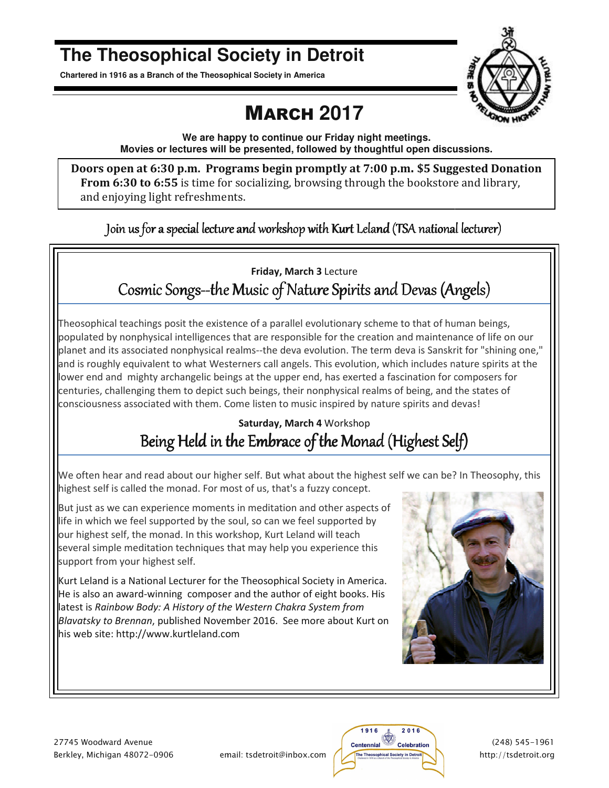# **The Theosophical Society in Detroit**

**Chartered in 1916 as a Branch of the Theosophical Society in America Chartered in Branch** 

# MARCH **2017**



**We are happy to continue our Friday night meetings. Movies or lectures will be presented, followed by thoughtful open discussions. or lectures will be discussions.**

Doors open at 6:30 p.m. Programs begin promptly at 7:00 p.m. \$5 Suggested Donation **From 6:30 to 6:55** is time for socializing, browsing through the bookstore and library, and enjoying light refreshments.

Join us for a special lecture and workshop with Kurt Leland (TSA national lecturer)

### Cosmic Songs--the Music of Nature Spirits and Devas (Angels) **Friday, March 3** Lecture

Theosophical teachings posit the existence of a parallel evolutionary scheme to that of human beings, populated by nonphysical intelligences that are responsible for the creation and maintenance of life on our planet and its associated nonphysical realms--the deva evolution. The term deva is Sanskrit for "shining one," and is roughly equivalent to what Westerners call angels. This evolution, which includes nature spirits at the and is roughly equivalent to what Westerners call angels. This evolution, which includes nature spirits at<br>lower end and mighty archangelic beings at the upper end, has exerted a fascination for composers for centuries, challenging them to depict such beings, their nonphysical realms of being, and the states of centuries, challenging them to depict such beings, their nonphysical realms of being, and the st<br>consciousness associated with them. Come listen to music inspired by nature spirits and devas! is Sanskrit for '<br>cludes nature :<br>tion for compo<br>ing, and the sta<br>its and devas!

### Being Held in the Embrace of the Monad (Highest Self) **Saturday, March 4** Workshop

We often hear and read about our higher self. But what about the highest self we can be? In Theosophy, this highest self is called the monad. For most of us, that's a fuzzy concept.

But just as we can experience moments in meditation and other aspects of life in which we feel supported by the soul, so can we feel supported by our highest self, the monad. In this workshop, Kurt Leland will teach several simple meditation techniques that may help you experience this support from your highest self. d the monad. For most of us, that's a fuzzy concept.<br>experience moments in meditation and other aspects<br>el supported by the soul, so can we feel supported by<br>e monad. In this workshop, Kurt Leland will teach<br>ditation techn

Kurt Leland is a National Lecturer for the Theosophical Society in America. Kurt Leland is a National Lecturer for the Theosophical Society in America.<br>He is also an award-winning composer and the author of eight books. His latest is Rainbow Body: A History of the Western Chakra System from Blavatsky to Brennan, published November 2016. See more about Kurt on his web site: http://www.kurtleland.com



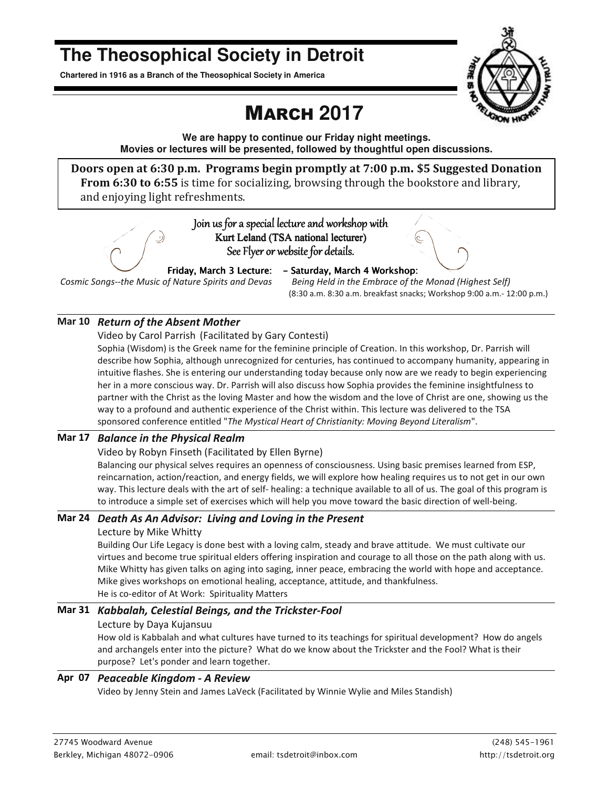# **The Theosophical Society in Detroit**

**Chartered in 1916 as a Branch of the Theosophical Society in America** 

# MARCH **2017**

**We are happy to continue our Friday night meetings. Movies or lectures will be presented, followed by thoughtful open discussions.** 

**Doors open at 6:30 p.m. Programs begin promptly at 7:00 p.m. \$5 Suggested Donation From 6:30 to 6:55** is time for socializing, browsing through the bookstore and library, and enjoying light refreshments.



*Cosmic Songs--the Music of Nature Spirits and Devas* 

*Friday, March 3 Lecture:* - Saturday, March 4 Workshop:

 *Being Held in the Embrace of the Monad (Highest Self)*  (8:30 a.m. 8:30 a.m. breakfast snacks; Workshop 9:00 a.m.- 12:00 p.m.)

#### **Mar 10** *Return of the Absent Mother*

Video by Carol Parrish (Facilitated by Gary Contesti)

Sophia (Wisdom) is the Greek name for the feminine principle of Creation. In this workshop, Dr. Parrish will describe how Sophia, although unrecognized for centuries, has continued to accompany humanity, appearing in intuitive flashes. She is entering our understanding today because only now are we ready to begin experiencing her in a more conscious way. Dr. Parrish will also discuss how Sophia provides the feminine insightfulness to partner with the Christ as the loving Master and how the wisdom and the love of Christ are one, showing us the way to a profound and authentic experience of the Christ within. This lecture was delivered to the TSA sponsored conference entitled "*The Mystical Heart of Christianity: Moving Beyond Literalism*".

#### **Mar 17** *Balance in the Physical Realm*

Video by Robyn Finseth (Facilitated by Ellen Byrne)

Balancing our physical selves requires an openness of consciousness. Using basic premises learned from ESP, reincarnation, action/reaction, and energy fields, we will explore how healing requires us to not get in our own way. This lecture deals with the art of self- healing: a technique available to all of us. The goal of this program is to introduce a simple set of exercises which will help you move toward the basic direction of well-being.

#### **Mar 24** *Death As An Advisor: Living and Loving in the Present*

#### Lecture by Mike Whitty

Building Our Life Legacy is done best with a loving calm, steady and brave attitude. We must cultivate our virtues and become true spiritual elders offering inspiration and courage to all those on the path along with us. Mike Whitty has given talks on aging into saging, inner peace, embracing the world with hope and acceptance. Mike gives workshops on emotional healing, acceptance, attitude, and thankfulness. He is co-editor of At Work: Spirituality Matters

#### **Mar 31** *Kabbalah, Celestial Beings, and the Trickster-Fool*

#### Lecture by Daya Kujansuu

How old is Kabbalah and what cultures have turned to its teachings for spiritual development? How do angels and archangels enter into the picture? What do we know about the Trickster and the Fool? What is their purpose? Let's ponder and learn together.

#### **Apr 07** *Peaceable Kingdom - A Review*

Video by Jenny Stein and James LaVeck (Facilitated by Winnie Wylie and Miles Standish)